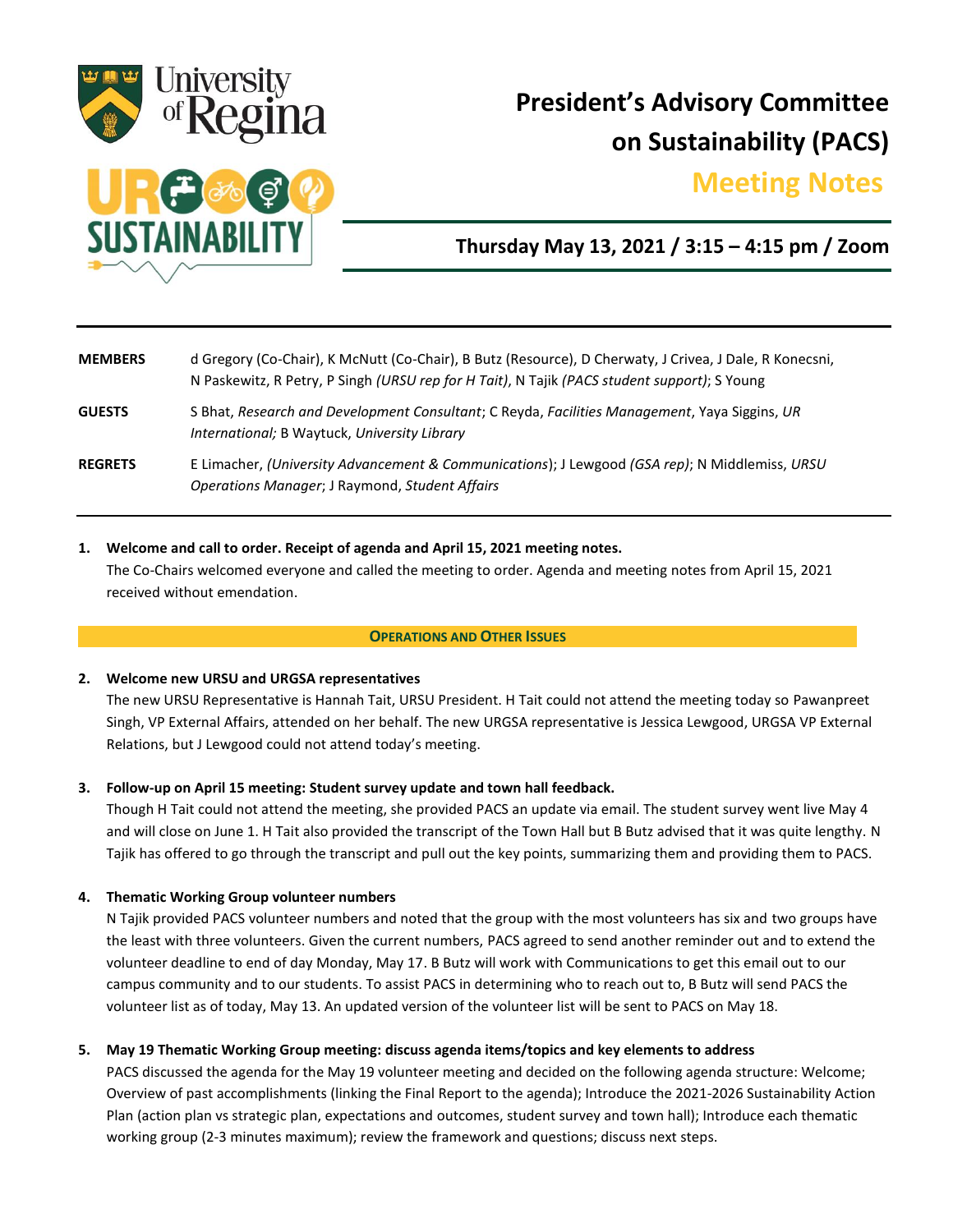

# **President's Advisory Committee on Sustainability (PACS)**

## **Meeting Notes.**



## **Thursday May 13, 2021 / 3:15 – 4:15 pm / Zoom**

| <b>MEMBERS</b> | d Gregory (Co-Chair), K McNutt (Co-Chair), B Butz (Resource), D Cherwaty, J Crivea, J Dale, R Konecsni,<br>N Paskewitz, R Petry, P Singh (URSU rep for H Tait), N Tajik (PACS student support); S Young |
|----------------|---------------------------------------------------------------------------------------------------------------------------------------------------------------------------------------------------------|
| <b>GUESTS</b>  | S Bhat, Research and Development Consultant; C Reyda, Facilities Management, Yaya Siggins, UR<br>International; B Waytuck, University Library                                                           |
| <b>REGRETS</b> | E Limacher, (University Advancement & Communications); J Lewgood (GSA rep); N Middlemiss, URSU<br>Operations Manager; J Raymond, Student Affairs                                                        |

### **1. Welcome and call to order. Receipt of agenda and April 15, 2021 meeting notes.**

The Co-Chairs welcomed everyone and called the meeting to order. Agenda and meeting notes from April 15, 2021 received without emendation.

#### **OPERATIONS AND OTHER ISSUES**

### **2. Welcome new URSU and URGSA representatives**

The new URSU Representative is Hannah Tait, URSU President. H Tait could not attend the meeting today so Pawanpreet Singh, VP External Affairs, attended on her behalf. The new URGSA representative is Jessica Lewgood, URGSA VP External Relations, but J Lewgood could not attend today's meeting.

### **3. Follow-up on April 15 meeting: Student survey update and town hall feedback.**

Though H Tait could not attend the meeting, she provided PACS an update via email. The student survey went live May 4 and will close on June 1. H Tait also provided the transcript of the Town Hall but B Butz advised that it was quite lengthy. N Tajik has offered to go through the transcript and pull out the key points, summarizing them and providing them to PACS.

### **4. Thematic Working Group volunteer numbers**

N Tajik provided PACS volunteer numbers and noted that the group with the most volunteers has six and two groups have the least with three volunteers. Given the current numbers, PACS agreed to send another reminder out and to extend the volunteer deadline to end of day Monday, May 17. B Butz will work with Communications to get this email out to our campus community and to our students. To assist PACS in determining who to reach out to, B Butz will send PACS the volunteer list as of today, May 13. An updated version of the volunteer list will be sent to PACS on May 18.

### **5. May 19 Thematic Working Group meeting: discuss agenda items/topics and key elements to address**

PACS discussed the agenda for the May 19 volunteer meeting and decided on the following agenda structure: Welcome; Overview of past accomplishments (linking the Final Report to the agenda); Introduce the 2021-2026 Sustainability Action Plan (action plan vs strategic plan, expectations and outcomes, student survey and town hall); Introduce each thematic working group (2-3 minutes maximum); review the framework and questions; discuss next steps.